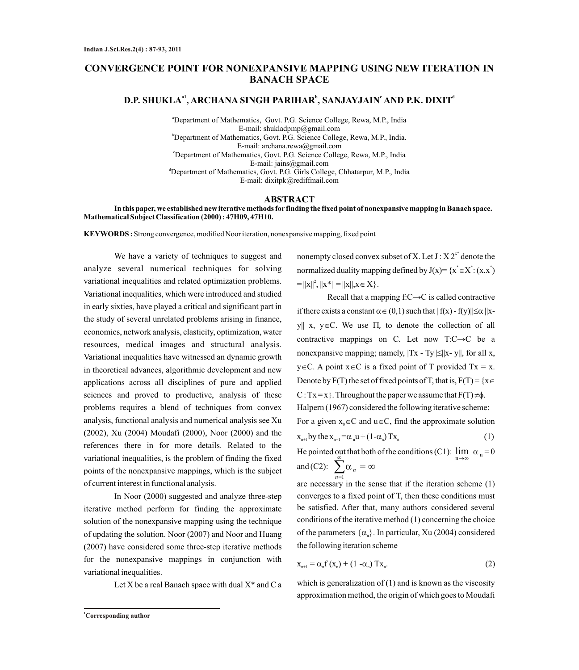## **CONVERGENCE POINT FOR NONEXPANSIVE MAPPING USING NEW ITERATION IN BANACH SPACE**

# **a1 <sup>b</sup> <sup>c</sup> <sup>d</sup> D.P. SHUKLA , ARCHANA SINGH PARIHAR , SANJAYJAIN AND P.K. DIXIT**

<sup>a</sup>Department of Mathematics, Govt. P.G. Science College, Rewa, M.P., India E-mail: shukladpmp@gmail.com <sup>b</sup>Department of Mathematics, Govt. P.G. Science College, Rewa, M.P., India. E-mail: archana.rewa@gmail.com <sup>c</sup>Department of Mathematics, Govt. P.G. Science College, Rewa, M.P., India E-mail: jains@gmail.com <sup>d</sup>Department of Mathematics, Govt. P.G. Girls College, Chhatarpur, M.P., India E-mail: dixitpk@rediffmail.com

## **ABSTRACT**

**In this paper, we established new iterative methods for finding the fixed point of nonexpansive mapping in Banach space. Mathematical Subject Classification (2000) : 47H09, 47H10.**

**KEYWORDS :** Strong convergence, modified Noor iteration, nonexpansive mapping, fixed point

We have a variety of techniques to suggest and analyze several numerical techniques for solving variational inequalities and related optimization problems. Variational inequalities, which were introduced and studied in early sixties, have played a critical and significant part in the study of several unrelated problems arising in finance, economics, network analysis, elasticity, optimization, water resources, medical images and structural analysis. Variational inequalities have witnessed an dynamic growth in theoretical advances, algorithmic development and new applications across all disciplines of pure and applied sciences and proved to productive, analysis of these problems requires a blend of techniques from convex analysis, functional analysis and numerical analysis see Xu (2002), Xu (2004) Moudafi (2000), Noor (2000) and the references there in for more details. Related to the variational inequalities, is the problem of finding the fixed points of the nonexpansive mappings, which is the subject of current interest in functional analysis.

In Noor (2000) suggested and analyze three-step iterative method perform for finding the approximate solution of the nonexpansive mapping using the technique of updating the solution. Noor (2007) and Noor and Huang (2007) have considered some three-step iterative methods for the nonexpansive mappings in conjunction with variational inequalities.

Let X be a real Banach space with dual  $X^*$  and C a

nonempty closed convex subset of X. Let  $J : X 2^{x^*}$  denote the normalized duality mapping defined by  $J(x)= {x^* \in X^* : (x,x^*)}$  $= ||x||^2, ||x^*|| = ||x||, x \in X$ .

Recall that a mapping f:C→C is called contractive if there exists a constant  $\alpha \in (0,1)$  such that  $||f(x) - f(y)|| \leq \alpha ||x$ y|| x, y \ EC. We use  $\Pi_c$  to denote the collection of all contractive mappings on C. Let now T:C→C be a nonexpansive mapping; namely,  $|Tx - Ty|| \le ||x - y||$ , for all x,  $y \in C$ . A point  $x \in C$  is a fixed point of T provided Tx = x.  $x_{n+1}$  by the  $x_{n+1} = \alpha_n u + (1 - \alpha_n) T x_n$ For a given  $x_0 \in C$  and  $u \in C$ , find the approximate solution Halpern (1967) considered the following iterative scheme: C : Tx = x }. Throughout the paper we assume that  $F(T) \neq \phi$ . Denote by  $F(T)$  the set of fixed points of T, that is,  $F(T) = \{x \}$  $\alpha_n u + (1 - \alpha_n) Tx_n$  (1)  $\alpha_{n}$ ) Tx<sub>n</sub> (1)  $\alpha_n = 0$  $= \{x \in \emptyset\}.$ (1)  $x \in$ <br>  $\vdots$ <br>  $\vdots$ <br>  $\vdots$ <br>  $\vdots$ <br>  $\vdots$ <br>  $\vdots$ <br>  $\vdots$ <br>  $\vdots$ <br>  $\vdots$ <br>  $\vdots$ <br>  $\vdots$ <br>  $\vdots$ <br>  $\vdots$ <br>  $\vdots$ <br>  $\vdots$ <br>  $\vdots$ <br>  $\vdots$ <br>  $\vdots$ <br>  $\vdots$ <br>  $\vdots$ <br>  $\vdots$ <br>  $\vdots$ <br>  $\vdots$ <br>  $\vdots$ <br>  $\vdots$ <br>  $\vdots$ <br>  $\vdots$ <br>  $\vdots$ <br>  $\vdots$ <br>  $\vdots$ <br>  $\vdots$ 

He pointed out that both of the conditions (C1):  $\lim_{n\to\infty} \alpha_n = 0$ and (C2):  $\sum \alpha_n = \infty$ 

are necessary in the sense that if the iteration scheme (1) converges to a fixed point of T, then these conditions must be satisfied. After that, many authors considered several conditions of the iterative method (1) concerning the choice of the parameters  $\{\alpha_n\}$ . In particular, Xu (2004) considered the following iteration scheme

$$
\mathbf{x}_{n+1} = \alpha_n \mathbf{f}(\mathbf{x}_n) + (1 - \alpha_n) \mathbf{T} \mathbf{x}_n. \tag{2}
$$

which is generalization of  $(1)$  and is known as the viscosity approximation method, the origin of which goes to Moudafi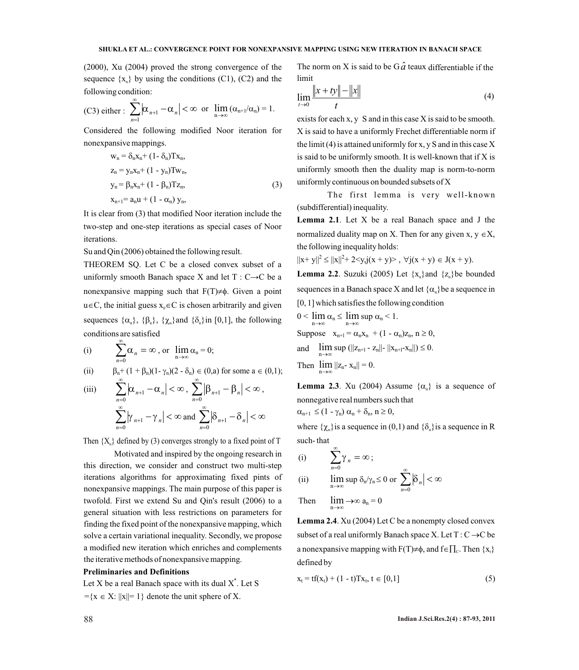(2000), Xu (2004) proved the strong convergence of the sequence  $\{x_n\}$  by using the conditions (C1), (C2) and the following condition:

(C3) either : 
$$
\sum_{n=1}^{\infty} \left| \alpha_{n+1} - \alpha_n \right| < \infty \text{ or } \lim_{n \to \infty} (\alpha_{n+1}/\alpha_n) = 1.
$$

Considered the following modified Noor iteration for nonexpansive mappings.

$$
w_n = \delta_n x_n + (1 - \delta_n) T x_n,
$$
  
\n
$$
z_n = y_n x_n + (1 - y_n) T w_n,
$$
  
\n
$$
y_n = \beta_n x_n + (1 - \beta_n) T z_n,
$$
  
\n
$$
x_{n+1} = a_n u + (1 - \alpha_n) y_n,
$$
\n(3)

It is clear from (3) that modified Noor iteration include the two-step and one-step iterations as special cases of Noor iterations.

Su and Qin (2006) obtained the following result.

THEOREM SQ. Let C be a closed convex subset of a uniformly smooth Banach space X and let  $T: C \rightarrow C$  be a nonexpansive mapping such that  $F(T) \neq \emptyset$ . Given a point  $u \in C$ , the initial guess  $x_0 \in C$  is chosen arbitrarily and given sequences  $\{\alpha_n\}$ ,  $\{\beta_n\}$ ,  $\{\chi_n\}$  and  $\{\delta_n\}$  in [0,1], the following conditions are satisfied

(i) 
$$
\sum_{n=0}^{\infty} \alpha_n = \infty, \text{ or } \lim_{n \to \infty} \alpha_n = 0;
$$

(ii) 
$$
\beta_n + (1 + \beta_n)(1 - \gamma_n)(2 - \delta_n) \in (0, a) \text{ for some } a \in (0, 1);
$$

(iii) 
$$
\sum_{n=0}^{\infty} |\alpha_{n+1} - \alpha_n| < \infty, \sum_{n=0}^{\infty} |\beta_{n+1} - \beta_n| < \infty,
$$

$$
\sum_{n=0}^{\infty} |\gamma_{n+1} - \gamma_n| < \infty \text{ and } \sum_{n=0}^{\infty} |\delta_{n+1} - \delta_n| < \infty
$$

Then  ${X<sub>n</sub>}$  defined by (3) converges strongly to a fixed point of T

Motivated and inspired by the ongoing research in this direction, we consider and construct two multi-step iterations algorithms for approximating fixed pints of nonexpansive mappings. The main purpose of this paper is twofold. First we extend Su and Qin's result (2006) to a general situation with less restrictions on parameters for finding the fixed point of the nonexpansive mapping, which solve a certain variational inequality. Secondly, we propose a modified new iteration which enriches and complements the iterative methods of nonexpansive mapping.

#### **Preliminaries and Definitions**

Let X be a real Banach space with its dual  $X^*$ . Let S ={ $x \in X: ||x|| = 1$ } denote the unit sphere of X.

The norm on X is said to be  $G\hat{a}$  teaux differentiable if the limit

$$
\lim_{t \to 0} \frac{\|x + ty\| - \|x\|}{t}
$$
 (4)

exists for each x, y S and in this case X is said to be smooth. X is said to have a uniformly Frechet differentiable norm if the limit (4) is attained uniformly for x, y S and in this case  $X$ is said to be uniformly smooth. It is well-known that if X is uniformly smooth then the duality map is norm-to-norm uniformly continuous on bounded subsets of X

The first lemma is very well-known (subdifferential) inequality.

**Lemma 2.1**. Let X be a real Banach space and J the normalized duality map on X. Then for any given x,  $y \in X$ , the following inequality holds:

$$
||x+y||^2 \le ||x||^2 + 2 < y, \quad y(x+y) > 0, \quad \forall j(x+y) \in J(x+y).
$$

**Lemma 2.2.** Suzuki (2005) Let  $\{x_n\}$  and  $\{z_n\}$  be bounded sequences in a Banach space X and let  $\{\alpha_n\}$ be a sequence in [0, 1] which satisfies the following condition

 $0 < \lim \alpha_n \leq \lim \sup \alpha_n < 1.$  $n \rightarrow \infty$  $n \rightarrow \infty$ Suppose  $x_{n+1} = \alpha_n x_n + (1 - \alpha_n) z_n, n \ge 0$ , and  $\lim_{n\to\infty} \sup (||z_{n+1} - z_n|| - ||x_{n+1}-x_n||) \leq 0.$ n Then  $\lim_{|z_n - x_n||} = 0$ .

**Lemma 2.3**. Xu (2004) Assume  $\{\alpha_n\}$  is a sequence of nonnegative real numbers such that

$$
\alpha_{n+1} \leq (1 - \gamma_n) \alpha_n + \delta_n, n \geq 0,
$$

where  $\{\chi_n\}$  is a sequence in (0,1) and  $\{\delta_n\}$  is a sequence in R such- that

(i) 
$$
\sum_{n=0}^{\infty} \gamma_n = \infty;
$$
  
\n(ii) 
$$
\lim_{n \to \infty} \sup \delta_n / \gamma_n \le 0 \text{ or } \sum_{n=0}^{\infty} |\delta_n| < \infty
$$

Then n  $\lim_{n \to \infty} a_n = 0$ 

**Lemma 2.4**. Xu (2004) Let C be a nonempty closed convex subset of a real uniformly Banach space X. Let  $T: C \rightarrow C$  be a nonexpansive mapping with  $F(T)\neq\phi$ , and  $f\in \prod_c$ . Then  $\{x_t\}$ defined by

$$
x_{t} = tf(x_{t}) + (1 - t)Tx_{t}, t \in [0,1]
$$
\n(5)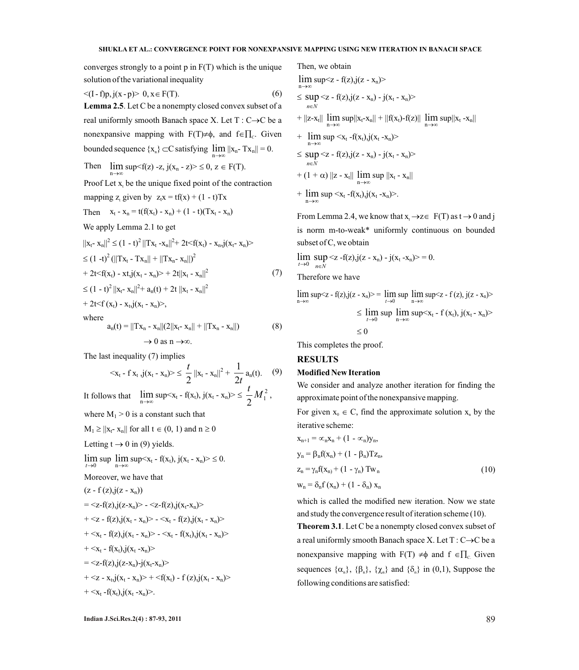converges strongly to a point p in F(T) which is the unique solution of the variational inequality

$$
\langle (I - f)p, j(x - p) > 0, x \in F(T). \tag{6} \tag{8} \tag{7} \langle f, \gamma \rangle \langle f, \gamma \rangle
$$

**Lemma 2.5**. Let C be a nonempty closed convex subset of a real uniformly smooth Banach space X. Let  $T: C \rightarrow C$  be a nonexpansive mapping with  $F(T) \neq \phi$ , and  $f \in \prod_{C}$ . Given

Then 
$$
\lim_{n \to \infty} \sup_{x \in \mathbb{R}} \sup_{z \in \mathbb{R}} \sup_{z \in \mathbb{R}} \sup_{z \in \mathbb{R}} \sup_{z \in \mathbb{R}} \sup_{z \in \mathbb{R}} \sup_{z \in \mathbb{R}} \sup_{z \in \mathbb{R}} \sup_{z \in \mathbb{R}} \sup_{z \in \mathbb{R}} \sup_{z \in \mathbb{R}} \sup_{z \in \mathbb{R}} \sup_{z \in \mathbb{R}} \sup_{z \in \mathbb{R}} \sup_{z \in \mathbb{R}} \sup_{z \in \mathbb{R}} \sup_{z \in \mathbb{R}} \sup_{z \in \mathbb{R}} \sup_{z \in \mathbb{R}} \sup_{z \in \mathbb{R}} \sup_{z \in \mathbb{R}} \sup_{z \in \mathbb{R}} \sup_{z \in \mathbb{R}} \sup_{z \in \mathbb{R}} \sup_{z \in \mathbb{R}} \sup_{z \in \mathbb{R}} \sup_{z \in \mathbb{R}} \sup_{z \in \mathbb{R}} \sup_{z \in \mathbb{R}} \sup_{z \in \mathbb{R}} \sup_{z \in \mathbb{R}} \sup_{z \in \mathbb{R}} \sup_{z \in \mathbb{R}} \sup_{z \in \mathbb{R}} \sup_{z \in \mathbb{R}} \sup_{z \in \mathbb{R}} \sup_{z \in \mathbb{R}} \sup_{z \in \mathbb{R}} \sup_{z \in \mathbb{R}} \sup_{z \in \mathbb{R}} \sup_{z \in \mathbb{R}} \sup_{z \in \mathbb{R}} \sup_{z \in \mathbb{R}} \sup_{z \in \mathbb{R}} \sup_{z \in \mathbb{R}} \sup_{z \in \mathbb{R}} \sup_{z \in \mathbb{R}} \sup_{z \in \mathbb{R}} \sup_{z \in \mathbb{R}} \sup_{z \in \mathbb{R}} \sup_{z \in \mathbb{R}} \sup_{z \in \mathbb{R}} \sup_{z \in \mathbb{R}} \sup_{z \in \mathbb{R}} \sup_{z \in \mathbb{R}} \sup_{z \in \mathbb{R}} \sup_{z \in \mathbb{R}} \sup_{z \in \mathbb{R}} \sup_{z \in \mathbb{R}} \sup_{z \in \mathbb{R}} \sup_{z \in \mathbb{R}} \sup_{z \in \mathbb{R}} \sup_{z \
$$

Proof Let  $x<sub>t</sub>$  be the unique fixed point of the contraction

mapping z<sub>t</sub> given by 
$$
z_t x = tf(x) + (1 - t)Tx
$$

Then 
$$
x_t - x_n = t(f(x_t) - x_n) + (1 - t)(Tx_t - x_n)
$$

We apply Lemma 2.1 to get

$$
||x_{t} - x_{n}||^{2} \le (1 - t)^{2} ||Tx_{t} - x_{n}||^{2} + 2t < f(x_{t}) - x_{n}, j(x_{t} - x_{n}) >
$$
  
\n
$$
\le (1 - t)^{2} (||Tx_{t} - Tx_{n}|| + ||Tx_{n} - x_{n}||)^{2}
$$
  
\n
$$
+ 2t < f(x_{t}) - xt, j(x_{t} - x_{n}) > + 2t||x_{t} - x_{n}||^{2}
$$
  
\n
$$
\le (1 - t)^{2} ||x_{t} - x_{n}||^{2} + a_{n}(t) + 2t ||x_{t} - x_{n}||^{2}
$$
  
\n
$$
+ 2t < f(x_{t}) - x_{t}, j(x_{t} - x_{n}) > ,
$$
  
\nwhere

$$
a_n(t) = ||Tx_n - x_n||(2||x_t - x_n|| + ||Tx_n - x_n||)
$$
(8)  

$$
\to 0 \text{ as } n \to \infty.
$$

The last inequality (7) implies

$$
\langle x_t - f x_t \cdot j(x_t - x_n) \rangle \leq \frac{t}{2} ||x_t - x_n||^2 + \frac{1}{2t} a_n(t). \quad (9)
$$

It follows that  $\lim_{n\to\infty} \sup \langle x_t - f(x_t), j(x_t - x_n) \rangle \leq \frac{\ell}{2} M_1^2$  $2^{1/2}$  $\frac{t}{2}M_1^2$ ,

where  $M_1 > 0$  is a constant such that

```
M_1 \ge ||x_t - x_n|| for all t \in (0, 1) and n \ge 0
```
Letting  $t \rightarrow 0$  in (9) yields.

 $t\rightarrow 0$  $\lim_{t \to 0} \sup_{n \to \infty} \sup_{x_t - f(x_t), \, j(x_t - x_n) > \leq 0.$  $n \rightarrow \infty$ 

Moreover, we have that

$$
(z-f(z), j(z-x_n))
$$

$$
= <_{Z} f(z), j(z-x_n) > - <_{Z} f(z), j(x_t-x_n) >
$$

$$
+  -
$$

$$
+  -
$$

$$
+ <_{X_t} f(x_t) \mathbf{,} j(x_t - x_n) >
$$

$$
= \langle z-f(z), j(z-x_n)-j(x_t-x_n)\rangle
$$

$$
+ <_{Z} x_{t,y}(x_{t} - x_{n}) > +
$$

$$
+ \langle x_t - f(x_t), j(x_t - x_n) \rangle.
$$

bounded sequence {x } ÌC satisfying <sup>n</sup> n lim ||xn- Txn|| = 0. Then, we obtain n lim sup<z - f(z),j(z - xn)> *nN* sup <z - f(z),j(z - xn) - j(x<sup>t</sup> - xn)> + ||z-x<sup>t</sup> || n lim sup||xt-xn|| + ||f(xt)-f(z)|| n lim sup||x<sup>t</sup> -xn|| + n lim sup <x<sup>t</sup> -f(xt),j(x<sup>t</sup> -xn)> *nN* sup <z - f(z),j(z - xn) - j(x<sup>t</sup> - xn)> + (1 + ) ||z - x<sup>t</sup> || n lim sup ||x<sup>t</sup> - xn||

+  $\limsup < x_t - f(x_t), j(x_t - x_n)$  $n \rightarrow \infty$ 

From Lemma 2.4, we know that  $x_i \rightarrow z \in F(T)$  as  $t \rightarrow 0$  and j is norm m-to-weak\* uniformly continuous on bounded subset of C, we obtain

 $t\rightarrow 0$   $n\in N$  $\lim_{t\to 0} \sup_{n\in\mathbb{N}}$  <z -f(z),j(z - x<sub>n</sub>) - j(x<sub>t</sub> -x<sub>n</sub>)> = 0.

Therefore we have

n lim sup<z - f(z),j(z - xn)> = 0 lim*t* sup n lim sup<z - f (z), j(z - xn)> 0 lim *t* sup n lim sup<x<sup>t</sup> - f (xt), j(xt - xn)> 0

This completes the proof.

## **RESULTS**

### **Modified New Iteration**

We consider and analyze another iteration for finding the approximate point of the nonexpansive mapping.

For given  $x_0 \in C$ , find the approximate solution  $x_n$  by the iterative scheme:

$$
x_{n+1} = \alpha_n x_n + (1 - \alpha_n) y_n,
$$
  
\n
$$
y_n = \beta_n f(x_n) + (1 - \beta_n) T z_n,
$$
  
\n
$$
z_n = \gamma_n f(x_n) + (1 - \gamma_n) T w_n
$$
  
\n
$$
w_n = \delta_n f(x_n) + (1 - \delta_n) x_n
$$
\n(10)

which is called the modified new iteration. Now we state and study the convergence result of iteration scheme (10).

**Theorem 3.1**. Let C be a nonempty closed convex subset of a real uniformly smooth Banach space X. Let  $T: C \rightarrow C$  be a nonexpansive mapping with  $F(T) \neq \phi$  and  $f \in \prod_c$  Given sequences  $\{\alpha_n\}$ ,  $\{\beta_n\}$ ,  $\{\chi_n\}$  and  $\{\delta_n\}$  in (0,1), Suppose the following conditions are satisfied: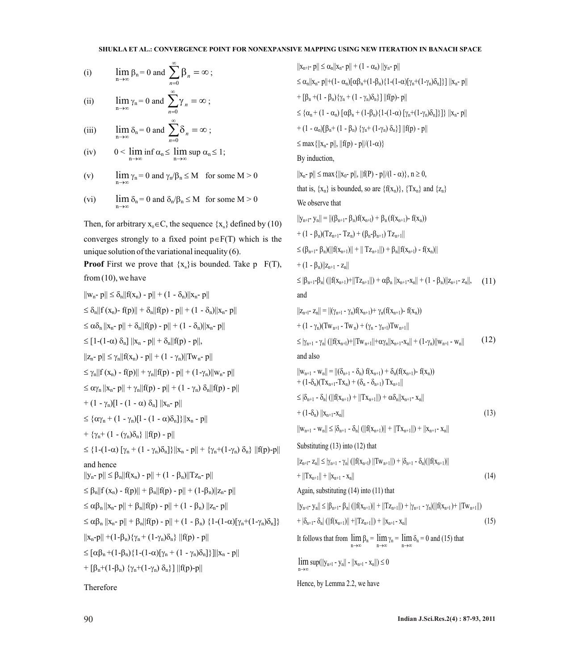#### **SHUKLA ET AL.: CONVERGENCE POINT FOR NONEXPANSIVE MAPPING USING NEW ITERATION IN BANACH SPACE**

(i) 
$$
\lim_{n \to \infty} \beta_n = 0 \text{ and } \sum_{n=0}^{\infty} \beta_n = \infty ;
$$

(ii) 
$$
\lim_{n \to \infty} \gamma_n = 0 \text{ and } \sum_{n=0} \gamma_n = \infty ;
$$

(iii) 
$$
\lim_{n \to \infty} \delta_n = 0 \text{ and } \sum_{n=0} \delta_n = \infty ;
$$

- (iv)  $0 < \liminf_{n \to \infty} \alpha_n \le \limsup_{n \to \infty} \alpha_n \le 1;$  $n \rightarrow \infty$
- (v) n  $\lim_{\gamma_n}$  = 0 and  $\gamma_n/\beta_n \leq M$  for some M > 0
- (vi) n  $\lim_{n \to \infty} \delta_n = 0$  and  $\delta_n / \beta_n \leq M$  for some  $M > 0$

Then, for arbitrary  $x_0 \in C$ , the sequence  $\{x_n\}$  defined by (10) converges strongly to a fixed point  $p \in F(T)$  which is the unique solution of the variational inequality (6). **Proof** First we prove that  $\{x_n\}$  is bounded. Take p  $F(T)$ , from  $(10)$ , we have

$$
||w_n - p|| \leq \delta_n ||f(x_n) - p|| + (1 - \delta_n)||x_n - p||
$$
  
\n
$$
\leq \delta_n ||f(x_n) - f(p)|| + \delta_n ||f(p) - p|| + (1 - \delta_n)||x_n - p||
$$
  
\n
$$
\leq \alpha \delta_n ||x_n - p|| + \delta_n ||f(p) - p|| + (1 - \delta_n)||x_n - p||
$$
  
\n
$$
\leq [1 - (1 - \alpha) \delta_n] ||x_n - p|| + \delta_n ||f(p) - p||,
$$
  
\n
$$
||z_n - p|| \leq \gamma_n ||f(x_n) - p|| + (1 - \gamma_n)||Tw_n - p||
$$
  
\n
$$
\leq \gamma_n ||f(x_n) - f(p)|| + \gamma_n ||f(p) - p|| + (1 - \gamma_n)||w_n - p||
$$
  
\n
$$
\leq \alpha \gamma_n ||x_n - p|| + \gamma_n ||f(p) - p|| + (1 - \gamma_n) \delta_n ||f(p) - p||
$$
  
\n
$$
+ (1 - \gamma_n)[1 - (1 - \alpha) \delta_n] ||x_n - p||
$$
  
\n
$$
\leq \{ \alpha \gamma_n + (1 - \gamma_n)[1 - (1 - \alpha) \delta_n] \} ||x_n - p||
$$
  
\n
$$
+ \{ \gamma_n + (1 - (\gamma_n) \delta_n) ||f(p) - p||
$$
  
\n
$$
\leq \{ 1 - (1 - \alpha) [\gamma_n + (1 - \gamma_n) \delta_n] \} ||x_n - p|| + \{ \gamma_n + (1 - \gamma_n) \delta_n \} ||f(p) - p||
$$
  
\nand hence  
\n
$$
||y_n - p|| \leq \beta_n ||f(x_n) - p|| + (1 - \beta_n)||Tx_n - p||
$$
  
\n
$$
\leq \beta_n ||f(x_n) - f(p)|| + \beta_n ||f(p) - p|| + (1 - \beta_n) ||z_n - p||
$$
  
\n
$$
\leq \alpha \beta_n ||x_n - p|| + \beta_n ||f(p) - p|| + (1 - \beta_n) ||z_n - p||
$$
  
\n
$$
\leq \alpha \beta_n ||x_n - p|| + \beta_n ||f(p) - p|| + (1 - \beta_n) ||1 - (1 - \alpha) [\gamma_n + (1 - \gamma_n) \delta_n] \}
$$
  
\n
$$
||x_n -
$$

Therefore

 $||x_{n+1}- p|| \leq \alpha_n ||x_n- p|| + (1 - \alpha_n) ||y_n- p||$  $\leq \alpha_n ||x_n - p|| + (1 - \alpha_n)[\alpha \beta_n + (1 - \beta_n)\{1-(1-\alpha)[\gamma_n+(1-\gamma_n)\delta_n]\}] ||x_n - p||$ +  $[\beta_n + (1 - \beta_n)\{\gamma_n + (1 - \gamma_n)\delta_n\}] ||f(p) - p||$  $\leq {\alpha_n + (1 - \alpha_n) [\alpha \beta_n + (1 - \beta_n) \{1-(1-\alpha) [\gamma_n+(1-\gamma_n)\delta_n] \}]}$   $||x_n - p||$ +  $(1 - \alpha_n)[\beta_n + (1 - \beta_n) \{ \gamma_n + (1 - \gamma_n) \delta_n \}] ||f(p) - p||$  $\leq$  max { $||x_n - p||$ ,  $||f(p) - p||/(1 - \alpha)$ } By induction,  $||x_n - p|| \le \max{||x_0 - p||, ||f(P) - p||/(1 - \alpha)}, n \ge 0,$ that is,  $\{x_n\}$  is bounded, so are  $\{f(x_n)\}\$ ,  $\{Tx_n\}$  and  $\{z_n\}$ We observe that  $||y_{n+1}- y_n|| = ||(\beta_{n+1}- \beta_n)f(x_{n+1}) + \beta_n(f(x_{n+1})- f(x_n))$  $+(1 - \beta_n)(T_{Z_{n+1}} - T_{Z_n}) + (\beta_n - \beta_{n+1}) T_{Z_{n+1}}||$  $\leq (\beta_{n+1}-\beta_n)(\|f(x_{n+1})\| + \|Tz_{n+1}\|) + \beta_n\|f(x_{n+1}) - f(x_n)\|$  $+(1 - \beta_n)||z_{n+1} - z_n||$  $\leq |\beta_{n+1}-\beta_n|$  ( $||f(x_{n+1})+||Tz_{n+1}||$ ) +  $\alpha\beta_n ||x_{n+1}-x_n|| + (1 - \beta_n)||z_{n+1}-z_n||,$  (11) and  $||z_{n+1}- z_n|| = ||(\gamma_{n+1}- \gamma_n)f(x_{n+1})+\gamma_n(f(x_{n+1})- f(x_n))$ +  $(1 - \gamma_n)(Tw_{n+1} - Tw_n) + (\gamma_n - \gamma_{n+1})Tw_{n+1}$ ||  $\leq |\gamma_{n+1} - \gamma_n|$  ( $||f(x_{n+1})+||Tw_{n+1}||+\alpha\gamma_n||x_{n+1}-x_n|| + (1-\gamma_n)||w_{n+1} - w_n||$ and also  $||w_{n+1} - w_n|| = ||(\delta_{n+1} - \delta_n) f(x_{n+1}) + \delta_n(f(x_{n+1}) - f(x_n))$ +  $(1-\delta_n)(Tx_{n+1}-Tx_n) + (\delta_n - \delta_{n+1}) Tx_{n+1}$ ||  $\leq |\delta_{n+1} - \delta_n| (||f(x_{n+1}) + ||Tx_{n+1}||) + \alpha \delta_n ||x_{n+1} - x_n||$  $+(1-\delta_n) ||x_{n+1}-x_n||$  (13)  $||w_{n+1} - w_n|| \leq |\delta_{n+1} - \delta_n| (||f(x_{n+1})|| + ||Tx_{n+1}||) + ||x_{n+1} - x_n||)$ (12) Substituting (13) into (12) that  $||z_{n+1}- z_n|| \leq |\gamma_{n+1}- \gamma_n| (||f(x_{n+1})||Tw_{n+1}||) + |\delta_{n+1}- \delta_n| (||f(x_{n+1})||)$  $+ ||Tx_{n+1}|| + ||x_{n+1} - x_n||$  (14) Again, substituting (14) into (11) that  $||y_{n+1}- y_n|| \leq |\beta_{n+1}- \beta_n| (||f(x_{n+1})|| + ||Tz_{n+1}||) + |\gamma_{n+1}- \gamma_n| (||f(x_{n+1})+ ||Tw_{n+1}||)$  $+ |\delta_{n+1} \cdot \delta_n| (||f(x_{n+1})|| + ||Tz_{n+1}||) + ||x_{n+1} \cdot x_n||$  (15) It follows that from  $\lim_{n} \beta_n = \lim_{n} \gamma_n = \lim_{n} \delta_n = 0$  and (15) that n n n→∞ n  $\limsup(||y_{n+1} - y_n|| - ||x_{n+1} - x_n||) \leq 0$ Hence, by Lemma 2.2, we have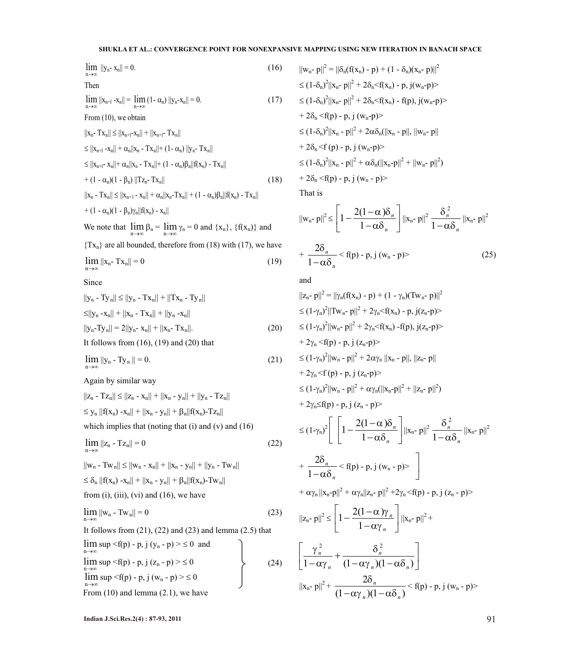### **SHUKLA ET AL.: CONVERGENCE POINT FOR NONEXPANSIVE MAPPING USING NEW ITERATION IN BANACH SPACE**

$$
\lim_{n \to \infty} ||y_n - x_n|| = 0.
$$
 (16)

Then

$$
\lim_{n \to \infty} ||x_{n+1} - x_n|| = \lim_{n \to \infty} (1 - \alpha_n) ||y_n - x_n|| = 0.
$$
 (17)

From (10), we obtain

$$
||x_{n} - Tx_{n}|| \le ||x_{n+1} - x_{n}|| + ||x_{n+1} - Tx_{n}||
$$
  
\n
$$
\le ||x_{n+1} - x_{n}|| + \alpha_{n}||x_{n} - Tx_{n}|| + (1 - \alpha_{n}) ||y_{n} - Tx_{n}||
$$
  
\n
$$
\le ||x_{n+1} - x_{n}|| + \alpha_{n}||x_{n} - Tx_{n}|| + (1 - \alpha_{n})\beta_{n}||f(x_{n}) - Tx_{n}||
$$
  
\n
$$
+ (1 - \alpha_{n})(1 - \beta_{n}) ||Tz_{n} - Tx_{n}|| \qquad (18)
$$
  
\n
$$
||x_{n} - Tx_{n}|| \le ||x_{n+1} - x_{n}|| + \alpha_{n}||x_{n} - Tx_{n}|| + (1 - \alpha_{n})\beta_{n}||f(x_{n}) - Tx_{n}||
$$

$$
+ (1 - \alpha_n)(1 - \beta_n)\gamma_n ||f(x_n) - x_n||
$$

We note that  $\lim_{n \to \infty} \beta_n = \lim_{n \to \infty} \gamma_n = 0$  and  $\{x_n\}$ ,  $\{f(x_n)\}\$  and

 ${Tx_n}$  are all bounded, therefore from (18) with (17), we have

$$
\lim_{n \to \infty} ||x_n - Tx_n|| = 0 \tag{19}
$$

Since

$$
||y_{n} - Ty_{n}|| \le ||y_{n} - Tx_{n}|| + ||Tx_{n} - Ty_{n}||
$$
  
\n
$$
\le ||y_{n} - x_{n}|| + ||x_{n} - Tx_{n}|| + ||y_{n} - x_{n}||
$$
  
\n
$$
||y_{n} - Ty_{n}|| = 2||y_{n} - x_{n}|| + ||x_{n} - Tx_{n}||.
$$
  
\nIt follows from (16), (19) and (20) that

$$
\lim_{n \to \infty} \|y_n - Ty_n\| = 0.
$$
 (21)

Again by similar way

$$
||z_n - Tz_n|| \le ||z_n - x_n|| + ||x_n - y_n|| + ||y_n - Tz_n||
$$
  
\n
$$
\le y_n ||f(x_n) - x_n|| + ||x_n - y_n|| + \beta_n ||f(x_n) - Tz_n||
$$
  
\nwhich implies that (noting that (i) and (v) and (16)

$$
\lim_{n \to \infty} ||z_n - Tz_n|| = 0 \tag{22}
$$

$$
||w_n - Tw_n|| \le ||w_n - x_n|| + ||x_n - y_n|| + ||y_n - Tw_n||
$$
  
\n
$$
\le \delta_n ||f(x_n) - x_n|| + ||x_n - y_n|| + \beta_n ||f(x_n) - Tw_n||
$$
  
\nfrom (i), (iii), (vi) and (16), we have

$$
\lim_{n \to \infty} ||w_n - Tw_n|| = 0 \tag{23}
$$

It follows from  $(21)$ ,  $(22)$  and  $(23)$  and lemma  $(2.5)$  that

$$
\lim_{n\to\infty} \sup_{-\infty} \langle f(p) - p, j (y_n - p) \rangle \le 0 \text{ and}
$$
\n
$$
\lim_{n\to\infty} \sup_{-\infty} \langle f(p) - p, j (z_n - p) \rangle \le 0
$$
\n
$$
\lim_{n\to\infty} \sup_{-\infty} \langle f(p) - p, j (w_n - p) \rangle \le 0
$$
\nFrom (10) and lemma (2.1), we have

$$
||w_n - p||^2 = ||\delta_n(f(x_n) - p) + (1 - \delta_n)(x_n - p)||^2
$$
  
\n
$$
\leq (1 - \delta_n)^2 ||x_n - p||^2 + 2\delta_n \leq f(x_n) - p, j(w_n - p) >
$$
  
\n
$$
\leq (1 - \delta_n)^2 ||x_n - p||^2 + 2\delta_n \leq f(x_n) - f(p), j(w_n - p) >
$$
  
\n
$$
+ 2\delta_n \leq f(p) - p, j (w_n - p) >
$$
  
\n
$$
\leq (1 - \delta_n)^2 ||x_n - p||^2 + 2\alpha \delta_n (||x_n - p||, ||w_n - p||)
$$
  
\n
$$
+ 2\delta_n \leq f(p) - p, j (w_n - p) >
$$
  
\n
$$
\leq (1 - \delta_n)^2 ||x_n - p||^2 + \alpha \delta_n (||x_n - p||^2 + ||w_n - p||^2)
$$
  
\n
$$
+ 2\delta_n \leq f(p) - p, j (w_n - p) >
$$

That is

$$
\|\mathbf{w}_{n} - \mathbf{p}\|^2 \le \left[1 - \frac{2(1-\alpha)\delta_n}{1-\alpha\delta_n}\right] \|\mathbf{x}_{n} - \mathbf{p}\|^2 \frac{\delta_n^2}{1-\alpha\delta_n} \|\mathbf{x}_{n} - \mathbf{p}\|^2
$$
  
+ 
$$
\frac{2\delta_n}{1-\alpha\delta_n} < \mathbf{f}(\mathbf{p}) - \mathbf{p}, \mathbf{j}(\mathbf{w}_{n} - \mathbf{p})>
$$
(25)

and

$$
||z_{n} - p||^{2} = ||\gamma_{n}(f(x_{n}) - p) + (1 - \gamma_{n})(Tw_{n} - p)||^{2}
$$
  
\n
$$
\leq (1 - \gamma_{n})^{2} ||Tw_{n} - p||^{2} + 2\gamma_{n} \leq f(x_{n}) - p, j(z_{n} - p) >
$$
  
\n
$$
\leq (1 - \gamma_{n})^{2} ||w_{n} - p||^{2} + 2\gamma_{n} \leq f(x_{n}) - f(p), j(z_{n} - p) >
$$
  
\n+ 2 $\gamma_{n} \leq f(p) - p, j(z_{n} - p) >$   
\n
$$
\leq (1 - \gamma_{n})^{2} ||w_{n} - p||^{2} + 2\alpha \gamma_{n} ||x_{n} - p||, ||z_{n} - p||
$$
  
\n+ 2 $\gamma_{n} \leq f(p) - p, j(z_{n} - p) >$   
\n
$$
\leq (1 - \gamma_{n})^{2} ||\gamma_{n} - p||^{2} + \alpha \gamma_{n} (||x_{n} - p||^{2} + ||z_{n} - p||^{2})
$$
  
\n+ 2 $\gamma_{n} \leq f(p) - p, j(z_{n} - p) >$   
\n
$$
\leq (1 - \gamma_{n})^{2} \left[ \left[ 1 - \frac{2(1 - \alpha)\delta_{n}}{1 - \alpha \delta_{n}} \right] ||x_{n} - p||^{2} \frac{\delta_{n}^{2}}{1 - \alpha \delta_{n}} ||x_{n} - p||^{2} \right]
$$
  
\n+ 
$$
\frac{2\delta_{n}}{1 - \alpha \delta_{n}} < f(p) - p, j(w_{n} - p) >
$$
  
\n+ 
$$
\alpha \gamma_{n} ||x_{n} - p||^{2} + \alpha \gamma_{n} ||z_{n} - p||^{2} + 2\gamma_{n} \leq f(p) - p, j(z_{n} - p) >
$$
  
\n
$$
||z_{n} - p||^{2} \leq \left[ 1 - \frac{2(1 - \alpha)\gamma_{n}}{1 - \alpha \gamma_{n}} \right] ||x_{n} - p||^{2} + \left[ \frac{\gamma_{n}^{2}}{1 - \alpha \gamma_{n}} + \frac{\delta_{n}^{2}}{(1 - \alpha \gamma_{n})(1 - \alpha \delta_{n})} \right]
$$
  
\

**Indian J.Sci.Res.2(4) : 87-93, 2011** 91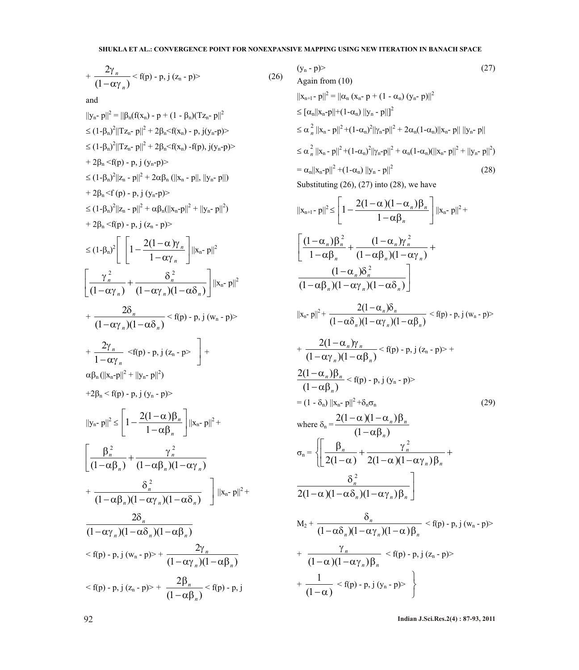$$
+\frac{2\gamma_n}{\left(1-\alpha\gamma_n\right)}<\text{f(p)-p, j}\text{ (z_n-p)}\\
$$
 (26)

and

$$
||y_{n}-p||^{2} = ||\beta_{n}(f(x_{n}) - p + (1 - \beta_{n})(Tz_{n} - p||^{2})
$$
  
\n
$$
\leq (1-\beta_{n})^{2}||Tz_{n} - p||^{2} + 2\beta_{n} \leq f(x_{n}) - p, j(y_{n} - p) >
$$
  
\n
$$
\leq (1-\beta_{n})^{2}||Tz_{n} - p||^{2} + 2\beta_{n} \leq f(x_{n}) - f(p), j(y_{n} - p) >
$$
  
\n
$$
+ 2\beta_{n} \leq f(p) - p, j (y_{n} - p) >
$$
  
\n
$$
\leq (1-\beta_{n})^{2}||z_{n} - p||^{2} + 2\alpha\beta_{n} (||x_{n} - p||, ||y_{n} - p||^{2})
$$
  
\n
$$
+ 2\beta_{n} \leq f(p) - p, j (y_{n} - p) >
$$
  
\n
$$
\leq (1-\beta_{n})^{2}||z_{n} - p||^{2} + \alpha\beta_{n} (||x_{n} - p||^{2} + ||y_{n} - p||^{2})
$$
  
\n
$$
+ 2\beta_{n} \leq f(p) - p, j (z_{n} - p) >
$$
  
\n
$$
\leq (1-\beta_{n})^{2} \Bigg[ \Bigg[ 1 - \frac{2(1-\alpha)\gamma_{n}}{1-\alpha\gamma_{n}} \Bigg] ||x_{n} - p||^{2}
$$
  
\n
$$
\Bigg[ \frac{\gamma_{n}^{2}}{(1-\alpha\gamma_{n})^{2}} + \frac{\delta_{n}^{2}}{(1-\alpha\gamma_{n})(1-\alpha\delta_{n})} \Bigg] ||x_{n} - p||^{2}
$$
  
\n
$$
+ \frac{2\delta_{n}}{(1-\alpha\gamma_{n})(1-\alpha\delta_{n})} \leq f(p) - p, j (x_{n} - p) >
$$
  
\n
$$
+ \frac{2\gamma_{n}}{1-\alpha\gamma_{n}} \leq f(p) - p, j (y_{n} - p) >
$$
  
\n
$$
+ 2\beta_{n} \leq f(p) - p, j (y_{n} - p) >
$$
  
\n
$$
+ 2\beta_{n} \leq f(p) - p, j (y_{n} - p
$$

$$
(y_n - p) > (27)
$$
  
\nAgain from (10)  
\n
$$
||x_{n+1} - p||^2 = ||\alpha_n (x_n - p + (1 - \alpha_n) (y_n - p)||^2
$$
  
\n
$$
\leq [\alpha_n ||x_n - p|| + (1 - \alpha_n) ||y_n - p||]^2
$$
  
\n
$$
\leq \alpha_n^2 ||x_n - p||^2 + (1 - \alpha_n)^2 ||y_n - p||^2 + 2\alpha_n (1 - \alpha_n) ||x_n - p|| ||y_n - p||
$$
  
\n
$$
\leq \alpha_n^2 ||x_n - p||^2 + (1 - \alpha_n)^2 ||y_n - p||^2 + \alpha_n (1 - \alpha_n) (||x_n - p||^2 + ||y_n - p||^2)
$$
  
\n
$$
= \alpha_n ||x_n - p||^2 + (1 - \alpha_n) ||y_n - p||^2
$$
\n(28)  
\nSubstituting (26), (27) into (28), we have

$$
||x_{n+1}-p||^{2} \leq \left[1-\frac{2(1-\alpha)(1-\alpha_{n})\beta_{n}}{1-\alpha\beta_{n}}\right]||x_{n}-p||^{2} +
$$
\n
$$
\left[\frac{(1-\alpha_{n})\beta_{n}^{2}}{1-\alpha\beta_{n}}+\frac{(1-\alpha_{n})\gamma_{n}^{2}}{(1-\alpha\beta_{n})(1-\alpha\gamma_{n})}+\frac{(1-\alpha_{n})\delta_{n}^{2}}{(1-\alpha\beta_{n})(1-\alpha\gamma_{n})(1-\alpha\delta_{n})}\right]
$$
\n
$$
||x_{n}-p||^{2}+\frac{2(1-\alpha_{n})\delta_{n}}{(1-\alpha\delta_{n})(1-\alpha\gamma_{n})(1-\alpha\beta_{n})} < f(p)-p, j (w_{n}-p) > +\frac{2(1-\alpha_{n})\gamma_{n}}{(1-\alpha\gamma_{n})(1-\alpha\beta_{n})} < f(p)-p, j (z_{n}-p) > +\frac{2(1-\alpha_{n})\beta_{n}}{(1-\alpha\beta_{n})} < f(p)-p, j (y_{n}-p) > -\frac{2(1-\alpha_{n})\beta_{n}}{(1-\alpha\beta_{n})} < f(p)-p, j (y_{n}-p) > -\frac{2(1-\alpha_{n})\beta_{n}}{(1-\alpha\beta_{n})} < -\frac{2(1-\alpha)(1-\alpha_{n})\beta_{n}}{(1-\alpha\beta_{n})} < -\frac{2(1-\alpha)(1-\alpha\gamma_{n})\beta_{n}}{(1-\alpha\beta_{n})} < -\frac{\delta_{n}^{2}}{2(1-\alpha)(1-\alpha\gamma_{n})(1-\alpha\gamma_{n})\beta_{n}} + \frac{\delta_{n}^{2}}{2(1-\alpha)(1-\alpha\gamma_{n})(1-\alpha\gamma_{n})\beta_{n}} < f(p)-p, j (w_{n}-p) > +\frac{\gamma_{n}}{(1-\alpha)(1-\alpha\gamma_{n})(1-\alpha\gamma_{n})(1-\alpha)\beta_{n}} < f(p)-p, j (z_{n}-p) > +\frac{\gamma_{n}}{(1-\alpha)(1-\alpha\gamma_{n})(1-\alpha\gamma_{n})(1-\alpha)\beta_{n}} < f(p)-p, j (z_{n}-p) > +\frac{1}{(1-\alpha)} < f(p)-p, j (y_{n}-p) > \left\}
$$

92 **Indian J.Sci.Res.2(4) : 87-93, 2011**

J